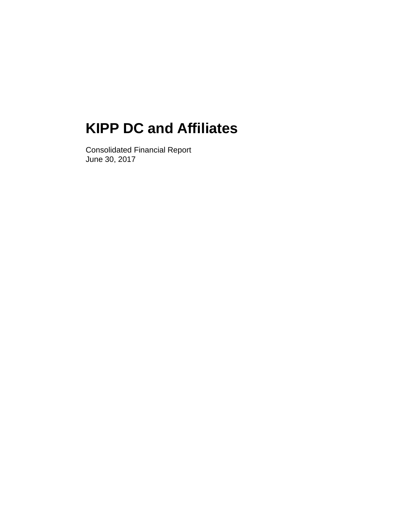Consolidated Financial Report June 30, 2017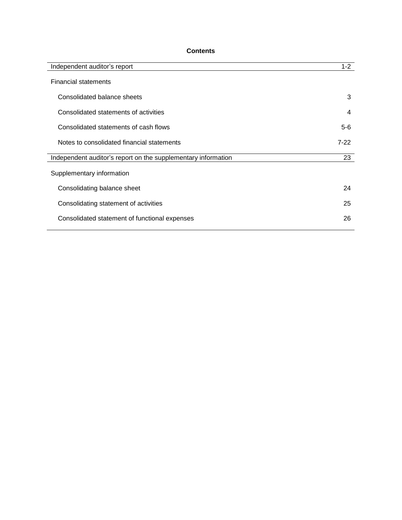# **Contents**

| Independent auditor's report                                  | $1 - 2$ |
|---------------------------------------------------------------|---------|
| <b>Financial statements</b>                                   |         |
| Consolidated balance sheets                                   | 3       |
| Consolidated statements of activities                         | 4       |
| Consolidated statements of cash flows                         | $5-6$   |
| Notes to consolidated financial statements                    | $7-22$  |
| Independent auditor's report on the supplementary information | 23      |
| Supplementary information                                     |         |
| Consolidating balance sheet                                   | 24      |
| Consolidating statement of activities                         | 25      |
| Consolidated statement of functional expenses                 | 26      |
|                                                               |         |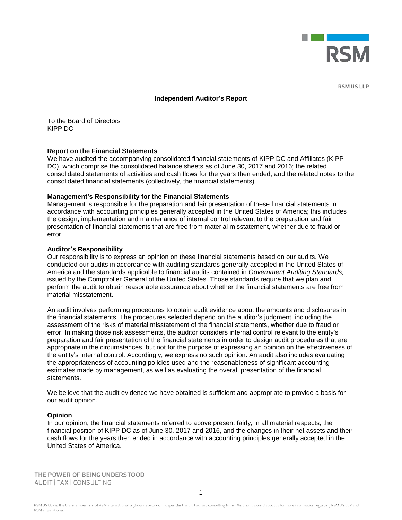

**RSM US LLP** 

#### **Independent Auditor's Report**

To the Board of Directors KIPP DC

#### **Report on the Financial Statements**

We have audited the accompanying consolidated financial statements of KIPP DC and Affiliates (KIPP DC), which comprise the consolidated balance sheets as of June 30, 2017 and 2016; the related consolidated statements of activities and cash flows for the years then ended; and the related notes to the consolidated financial statements (collectively, the financial statements).

#### **Management's Responsibility for the Financial Statements**

Management is responsible for the preparation and fair presentation of these financial statements in accordance with accounting principles generally accepted in the United States of America; this includes the design, implementation and maintenance of internal control relevant to the preparation and fair presentation of financial statements that are free from material misstatement, whether due to fraud or error.

#### **Auditor's Responsibility**

Our responsibility is to express an opinion on these financial statements based on our audits. We conducted our audits in accordance with auditing standards generally accepted in the United States of America and the standards applicable to financial audits contained in *Government Auditing Standards,* issued by the Comptroller General of the United States. Those standards require that we plan and perform the audit to obtain reasonable assurance about whether the financial statements are free from material misstatement.

An audit involves performing procedures to obtain audit evidence about the amounts and disclosures in the financial statements. The procedures selected depend on the auditor's judgment, including the assessment of the risks of material misstatement of the financial statements, whether due to fraud or error. In making those risk assessments, the auditor considers internal control relevant to the entity's preparation and fair presentation of the financial statements in order to design audit procedures that are appropriate in the circumstances, but not for the purpose of expressing an opinion on the effectiveness of the entity's internal control. Accordingly, we express no such opinion. An audit also includes evaluating the appropriateness of accounting policies used and the reasonableness of significant accounting estimates made by management, as well as evaluating the overall presentation of the financial statements.

We believe that the audit evidence we have obtained is sufficient and appropriate to provide a basis for our audit opinion.

#### **Opinion**

In our opinion, the financial statements referred to above present fairly, in all material respects, the financial position of KIPP DC as of June 30, 2017 and 2016, and the changes in their net assets and their cash flows for the years then ended in accordance with accounting principles generally accepted in the United States of America.

THE POWER OF BEING UNDERSTOOD AUDIT | TAX | CONSULTING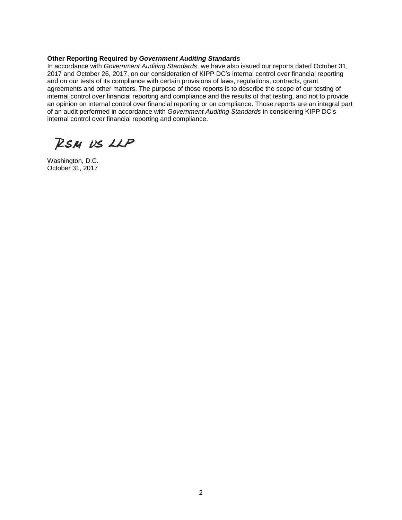## **Other Reporting Required by** *Government Auditing Standards*

In accordance with *Government Auditing Standards*, we have also issued our reports dated October 31, 2017 and October 26, 2017, on our consideration of KIPP DC's internal control over financial reporting and on our tests of its compliance with certain provisions of laws, regulations, contracts, grant agreements and other matters. The purpose of those reports is to describe the scope of our testing of internal control over financial reporting and compliance and the results of that testing, and not to provide an opinion on internal control over financial reporting or on compliance. Those reports are an integral part of an audit performed in accordance with *Government Auditing Standards* in considering KIPP DC's internal control over financial reporting and compliance.

RSM US LLP

Washington, D.C. October 31, 2017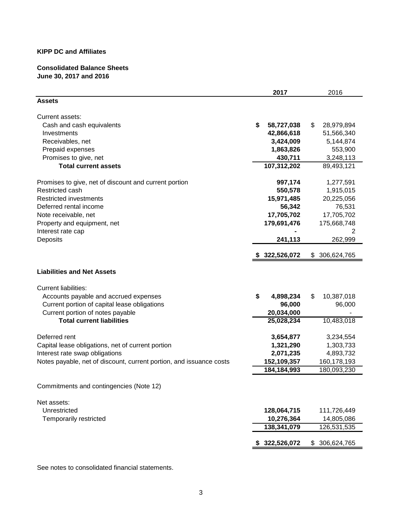# **Consolidated Balance Sheets June 30, 2017 and 2016**

|                                                                     | 2017             | 2016              |
|---------------------------------------------------------------------|------------------|-------------------|
| <b>Assets</b>                                                       |                  |                   |
| Current assets:                                                     |                  |                   |
| Cash and cash equivalents                                           | \$<br>58,727,038 | \$<br>28,979,894  |
| Investments                                                         | 42,866,618       | 51,566,340        |
| Receivables, net                                                    | 3,424,009        | 5,144,874         |
| Prepaid expenses                                                    | 1,863,826        | 553,900           |
| Promises to give, net                                               | 430,711          | 3,248,113         |
| <b>Total current assets</b>                                         | 107,312,202      | 89,493,121        |
| Promises to give, net of discount and current portion               | 997,174          | 1,277,591         |
| Restricted cash                                                     | 550,578          | 1,915,015         |
| <b>Restricted investments</b>                                       | 15,971,485       | 20,225,056        |
| Deferred rental income                                              | 56,342           | 76,531            |
| Note receivable, net                                                | 17,705,702       | 17,705,702        |
| Property and equipment, net                                         | 179,691,476      | 175,668,748       |
| Interest rate cap                                                   |                  | 2                 |
| Deposits                                                            | 241,113          | 262,999           |
|                                                                     | \$322,526,072    | 306,624,765<br>\$ |
| <b>Liabilities and Net Assets</b>                                   |                  |                   |
| <b>Current liabilities:</b>                                         |                  |                   |
| Accounts payable and accrued expenses                               | \$<br>4,898,234  | 10,387,018<br>\$  |
| Current portion of capital lease obligations                        | 96,000           | 96,000            |
| Current portion of notes payable                                    | 20,034,000       |                   |
| <b>Total current liabilities</b>                                    | 25,028,234       | 10,483,018        |
| Deferred rent                                                       | 3,654,877        | 3,234,554         |
| Capital lease obligations, net of current portion                   | 1,321,290        | 1,303,733         |
| Interest rate swap obligations                                      | 2,071,235        | 4,893,732         |
| Notes payable, net of discount, current portion, and issuance costs | 152,109,357      | 160,178,193       |
|                                                                     | 184, 184, 993    | 180,093,230       |
| Commitments and contingencies (Note 12)                             |                  |                   |
|                                                                     |                  |                   |
| Net assets:                                                         |                  |                   |
| Unrestricted                                                        | 128,064,715      | 111,726,449       |
| Temporarily restricted                                              | 10,276,364       | 14,805,086        |
|                                                                     | 138,341,079      | 126,531,535       |
|                                                                     | 322,526,072      | 306,624,765<br>\$ |

See notes to consolidated financial statements.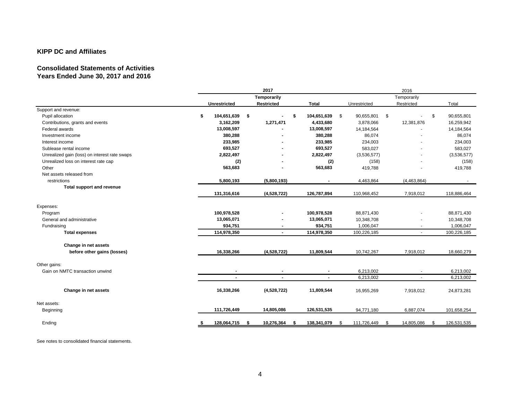# **Consolidated Statements of Activities Years Ended June 30, 2017 and 2016**

|                                                     | 2017<br>Temporarily |                        |                   | 2016              |                  |             |  |
|-----------------------------------------------------|---------------------|------------------------|-------------------|-------------------|------------------|-------------|--|
|                                                     |                     |                        |                   | Temporarily       |                  |             |  |
|                                                     | <b>Unrestricted</b> | Restricted             | <b>Total</b>      | Unrestricted      | Restricted       | Total       |  |
| Support and revenue:                                |                     |                        |                   |                   |                  |             |  |
| Pupil allocation                                    | \$<br>104,651,639   | -\$<br>\$              | 104,651,639<br>\$ | \$<br>90,655,801  | \$               | 90.655.801  |  |
| Contributions, grants and events                    | 3,162,209           | 1,271,471              | 4,433,680         | 3,878,066         | 12,381,876       | 16,259,942  |  |
| Federal awards                                      | 13,008,597          |                        | 13,008,597        | 14,184,564        |                  | 14,184,564  |  |
| Investment income                                   | 380,288             |                        | 380,288           | 86,074            |                  | 86,074      |  |
| Interest income                                     | 233,985             |                        | 233,985           | 234,003           |                  | 234,003     |  |
| Sublease rental income                              | 693,527             |                        | 693,527           | 583,027           |                  | 583,027     |  |
| Unrealized gain (loss) on interest rate swaps       | 2,822,497           |                        | 2,822,497         | (3,536,577)       |                  | (3,536,577) |  |
| Unrealized loss on interest rate cap                | (2)                 |                        | (2)               | (158)             |                  | (158)       |  |
| Other                                               | 563,683             |                        | 563,683           | 419,788           |                  | 419,788     |  |
| Net assets released from                            |                     |                        |                   |                   |                  |             |  |
| restrictions                                        | 5,800,193           | (5,800,193)            | $\blacksquare$    | 4,463,864         | (4, 463, 864)    | $\sim$      |  |
| Total support and revenue                           |                     |                        |                   |                   |                  |             |  |
|                                                     | 131,316,616         | (4,528,722)            | 126,787,894       | 110,968,452       | 7,918,012        | 118,886,464 |  |
| Expenses:                                           |                     |                        |                   |                   |                  |             |  |
| Program                                             | 100,978,528         |                        | 100,978,528       | 88,871,430        | ٠                | 88,871,430  |  |
| General and administrative                          | 13,065,071          |                        | 13,065,071        | 10,348,708        |                  | 10,348,708  |  |
| Fundraising                                         | 934,751             |                        | 934,751           | 1,006,047         | $\blacksquare$   | 1,006,047   |  |
| <b>Total expenses</b>                               | 114,978,350         | $\sim$                 | 114,978,350       | 100,226,185       | $\sim$           | 100,226,185 |  |
|                                                     |                     |                        |                   |                   |                  |             |  |
| Change in net assets<br>before other gains (losses) | 16,338,266          | (4,528,722)            | 11,809,544        | 10,742,267        | 7,918,012        | 18,660,279  |  |
|                                                     |                     |                        |                   |                   |                  |             |  |
| Other gains:                                        |                     |                        |                   |                   |                  |             |  |
| Gain on NMTC transaction unwind                     |                     |                        | $\blacksquare$    | 6,213,002         | $\blacksquare$   | 6,213,002   |  |
|                                                     | $\blacksquare$      | $\sim$                 | $\blacksquare$    | 6,213,002         | $\overline{a}$   | 6,213,002   |  |
| Change in net assets                                | 16,338,266          | (4,528,722)            | 11,809,544        | 16,955,269        | 7,918,012        | 24,873,281  |  |
|                                                     |                     |                        |                   |                   |                  |             |  |
| Net assets:<br>Beginning                            | 111,726,449         | 14,805,086             | 126,531,535       | 94,771,180        | 6,887,074        | 101,658,254 |  |
|                                                     |                     |                        |                   |                   |                  |             |  |
| Ending                                              | 128,064,715<br>\$   | 10,276,364<br>- 5<br>5 | 138,341,079<br>\$ | 111,726,449<br>\$ | 14,805,086<br>\$ | 126,531,535 |  |

See notes to consolidated financial statements.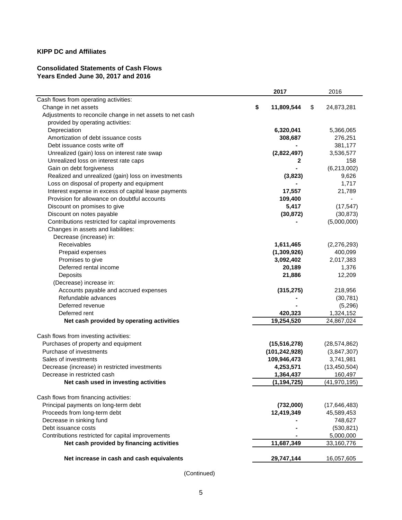# **Consolidated Statements of Cash Flows Years Ended June 30, 2017 and 2016**

|                                                           | 2017                    | 2016             |
|-----------------------------------------------------------|-------------------------|------------------|
| Cash flows from operating activities:                     |                         |                  |
| Change in net assets                                      | \$<br>11,809,544        | \$<br>24,873,281 |
| Adjustments to reconcile change in net assets to net cash |                         |                  |
| provided by operating activities:                         |                         |                  |
| Depreciation                                              | 6,320,041               | 5,366,065        |
| Amortization of debt issuance costs                       | 308,687                 | 276,251          |
| Debt issuance costs write off                             |                         | 381,177          |
| Unrealized (gain) loss on interest rate swap              | (2,822,497)             | 3,536,577        |
| Unrealized loss on interest rate caps                     | 2                       | 158              |
| Gain on debt forgiveness                                  |                         | (6,213,002)      |
| Realized and unrealized (gain) loss on investments        | (3,823)                 | 9,626            |
| Loss on disposal of property and equipment                |                         | 1,717            |
| Interest expense in excess of capital lease payments      | 17,557                  | 21,789           |
| Provision for allowance on doubtful accounts              | 109,400                 |                  |
| Discount on promises to give                              | 5,417                   | (17, 547)        |
| Discount on notes payable                                 | (30, 872)               | (30, 873)        |
| Contributions restricted for capital improvements         |                         | (5,000,000)      |
| Changes in assets and liabilities:                        |                         |                  |
| Decrease (increase) in:                                   |                         |                  |
| Receivables                                               | 1,611,465               | (2,276,293)      |
| Prepaid expenses                                          | (1,309,926)             | 400,099          |
| Promises to give                                          | 3,092,402               | 2,017,383        |
| Deferred rental income                                    | 20,189                  | 1,376            |
| Deposits                                                  | 21,886                  | 12,209           |
| (Decrease) increase in:                                   |                         |                  |
| Accounts payable and accrued expenses                     | (315, 275)              | 218,956          |
| Refundable advances                                       |                         | (30, 781)        |
| Deferred revenue                                          |                         | (5,296)          |
| Deferred rent                                             | 420,323                 | 1,324,152        |
| Net cash provided by operating activities                 | 19,254,520              | 24,867,024       |
| Cash flows from investing activities:                     |                         |                  |
| Purchases of property and equipment                       | (15, 516, 278)          | (28, 574, 862)   |
| Purchase of investments                                   | (101, 242, 928)         | (3,847,307)      |
| Sales of investments                                      | 109,946,473             | 3,741,981        |
| Decrease (increase) in restricted investments             | 4,253,571               | (13, 450, 504)   |
| Decrease in restricted cash                               | 1,364,437               | 160,497          |
| Net cash used in investing activities                     | (1, 194, 725)           | (41, 970, 195)   |
|                                                           |                         |                  |
| Cash flows from financing activities:                     |                         |                  |
| Principal payments on long-term debt                      | (732,000)<br>12,419,349 | (17, 646, 483)   |
| Proceeds from long-term debt<br>Decrease in sinking fund  |                         | 45,589,453       |
| Debt issuance costs                                       |                         | 748,627          |
|                                                           |                         | (530, 821)       |
| Contributions restricted for capital improvements         |                         | 5,000,000        |
| Net cash provided by financing activities                 | 11,687,349              | 33,160,776       |
| Net increase in cash and cash equivalents                 | 29,747,144              | 16,057,605       |
|                                                           |                         |                  |

(Continued)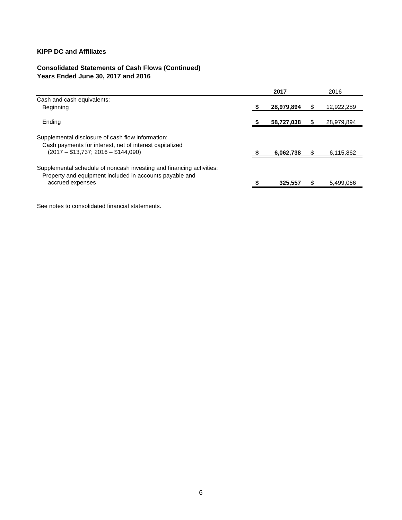# **Consolidated Statements of Cash Flows (Continued) Years Ended June 30, 2017 and 2016**

|                                                                                                                                                     | 2017       | 2016       |
|-----------------------------------------------------------------------------------------------------------------------------------------------------|------------|------------|
| Cash and cash equivalents:                                                                                                                          |            |            |
| Beginning                                                                                                                                           | 28,979,894 | 12,922,289 |
| Ending                                                                                                                                              | 58,727,038 | 28,979,894 |
| Supplemental disclosure of cash flow information:<br>Cash payments for interest, net of interest capitalized<br>$(2017 - $13,737; 2016 - $144,090)$ | 6,062,738  | 6,115,862  |
| Supplemental schedule of noncash investing and financing activities:<br>Property and equipment included in accounts payable and<br>accrued expenses | 325.557    | 5,499,066  |

See notes to consolidated financial statements.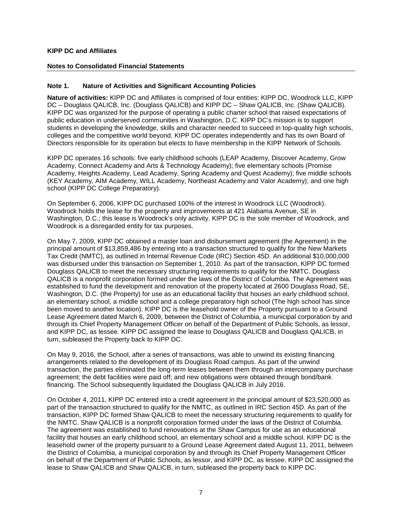## **Notes to Consolidated Financial Statements**

## **Note 1. Nature of Activities and Significant Accounting Policies**

**Nature of activities:** KIPP DC and Affiliates is comprised of four entities: KIPP DC, Woodrock LLC, KIPP DC – Douglass QALICB, Inc. (Douglass QALICB) and KIPP DC – Shaw QALICB, Inc. (Shaw QALICB). KIPP DC was organized for the purpose of operating a public charter school that raised expectations of public education in underserved communities in Washington, D.C. KIPP DC's mission is to support students in developing the knowledge, skills and character needed to succeed in top-quality high schools, colleges and the competitive world beyond. KIPP DC operates independently and has its own Board of Directors responsible for its operation but elects to have membership in the KIPP Network of Schools.

KIPP DC operates 16 schools: five early childhood schools (LEAP Academy, Discover Academy, Grow Academy, Connect Academy and Arts & Technology Academy); five elementary schools (Promise Academy, Heights Academy, Lead Academy, Spring Academy and Quest Academy); five middle schools (KEY Academy, AIM Academy, WILL Academy, Northeast Academy and Valor Academy); and one high school (KIPP DC College Preparatory).

On September 6, 2006, KIPP DC purchased 100% of the interest in Woodrock LLC (Woodrock). Woodrock holds the lease for the property and improvements at 421 Alabama Avenue, SE in Washington, D.C.; this lease is Woodrock's only activity. KIPP DC is the sole member of Woodrock, and Woodrock is a disregarded entity for tax purposes.

On May 7, 2009, KIPP DC obtained a master loan and disbursement agreement (the Agreement) in the principal amount of \$13,859,486 by entering into a transaction structured to qualify for the New Markets Tax Credit (NMTC), as outlined in Internal Revenue Code (IRC) Section 45D. An additional \$10,000,000 was disbursed under this transaction on September 1, 2010. As part of the transaction, KIPP DC formed Douglass QALICB to meet the necessary structuring requirements to qualify for the NMTC. Douglass QALICB is a nonprofit corporation formed under the laws of the District of Columbia. The Agreement was established to fund the development and renovation of the property located at 2600 Douglass Road, SE, Washington, D.C. (the Property) for use as an educational facility that houses an early childhood school, an elementary school, a middle school and a college preparatory high school (The high school has since been moved to another location). KIPP DC is the leasehold owner of the Property pursuant to a Ground Lease Agreement dated March 6, 2009, between the District of Columbia, a municipal corporation by and through its Chief Property Management Officer on behalf of the Department of Public Schools, as lessor, and KIPP DC, as lessee. KIPP DC assigned the lease to Douglass QALICB and Douglass QALICB, in turn, subleased the Property back to KIPP DC.

On May 9, 2016, the School, after a series of transactions, was able to unwind its existing financing arrangements related to the development of its Douglass Road campus. As part of the unwind transaction, the parties eliminated the long-term leases between them through an intercompany purchase agreement; the debt facilities were paid off; and new obligations were obtained through bond/bank financing. The School subsequently liquidated the Douglass QALICB in July 2016.

On October 4, 2011, KIPP DC entered into a credit agreement in the principal amount of \$23,520,000 as part of the transaction structured to qualify for the NMTC, as outlined in IRC Section 45D. As part of the transaction, KIPP DC formed Shaw QALICB to meet the necessary structuring requirements to qualify for the NMTC. Shaw QALICB is a nonprofit corporation formed under the laws of the District of Columbia. The agreement was established to fund renovations at the Shaw Campus for use as an educational facility that houses an early childhood school, an elementary school and a middle school. KIPP DC is the leasehold owner of the property pursuant to a Ground Lease Agreement dated August 11, 2011, between the District of Columbia, a municipal corporation by and through its Chief Property Management Officer on behalf of the Department of Public Schools, as lessor, and KIPP DC, as lessee. KIPP DC assigned the lease to Shaw QALICB and Shaw QALICB, in turn, subleased the property back to KIPP DC.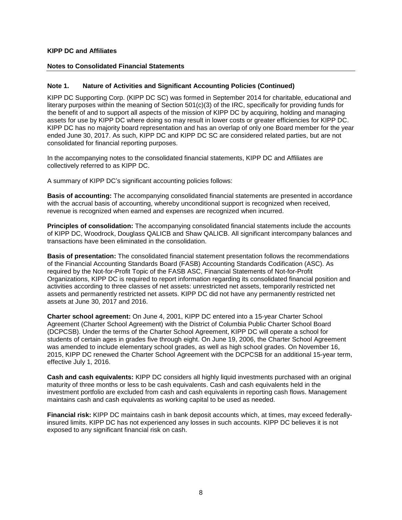## **Notes to Consolidated Financial Statements**

## **Note 1. Nature of Activities and Significant Accounting Policies (Continued)**

KIPP DC Supporting Corp. (KIPP DC SC) was formed in September 2014 for charitable, educational and literary purposes within the meaning of Section 501(c)(3) of the IRC, specifically for providing funds for the benefit of and to support all aspects of the mission of KIPP DC by acquiring, holding and managing assets for use by KIPP DC where doing so may result in lower costs or greater efficiencies for KIPP DC. KIPP DC has no majority board representation and has an overlap of only one Board member for the year ended June 30, 2017. As such, KIPP DC and KIPP DC SC are considered related parties, but are not consolidated for financial reporting purposes.

In the accompanying notes to the consolidated financial statements, KIPP DC and Affiliates are collectively referred to as KIPP DC.

A summary of KIPP DC's significant accounting policies follows:

**Basis of accounting:** The accompanying consolidated financial statements are presented in accordance with the accrual basis of accounting, whereby unconditional support is recognized when received, revenue is recognized when earned and expenses are recognized when incurred.

**Principles of consolidation:** The accompanying consolidated financial statements include the accounts of KIPP DC, Woodrock, Douglass QALICB and Shaw QALICB. All significant intercompany balances and transactions have been eliminated in the consolidation.

**Basis of presentation:** The consolidated financial statement presentation follows the recommendations of the Financial Accounting Standards Board (FASB) Accounting Standards Codification (ASC). As required by the Not-for-Profit Topic of the FASB ASC, Financial Statements of Not-for-Profit Organizations, KIPP DC is required to report information regarding its consolidated financial position and activities according to three classes of net assets: unrestricted net assets, temporarily restricted net assets and permanently restricted net assets. KIPP DC did not have any permanently restricted net assets at June 30, 2017 and 2016.

**Charter school agreement:** On June 4, 2001, KIPP DC entered into a 15-year Charter School Agreement (Charter School Agreement) with the District of Columbia Public Charter School Board (DCPCSB). Under the terms of the Charter School Agreement, KIPP DC will operate a school for students of certain ages in grades five through eight. On June 19, 2006, the Charter School Agreement was amended to include elementary school grades, as well as high school grades. On November 16, 2015, KIPP DC renewed the Charter School Agreement with the DCPCSB for an additional 15-year term, effective July 1, 2016.

**Cash and cash equivalents:** KIPP DC considers all highly liquid investments purchased with an original maturity of three months or less to be cash equivalents. Cash and cash equivalents held in the investment portfolio are excluded from cash and cash equivalents in reporting cash flows. Management maintains cash and cash equivalents as working capital to be used as needed.

**Financial risk:** KIPP DC maintains cash in bank deposit accounts which, at times, may exceed federallyinsured limits. KIPP DC has not experienced any losses in such accounts. KIPP DC believes it is not exposed to any significant financial risk on cash.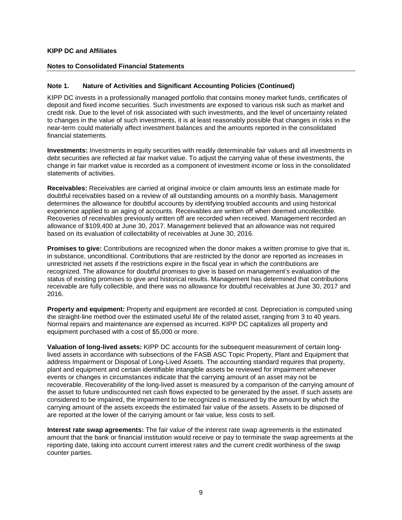#### **Notes to Consolidated Financial Statements**

## **Note 1. Nature of Activities and Significant Accounting Policies (Continued)**

KIPP DC invests in a professionally managed portfolio that contains money market funds, certificates of deposit and fixed income securities. Such investments are exposed to various risk such as market and credit risk. Due to the level of risk associated with such investments, and the level of uncertainty related to changes in the value of such investments, it is at least reasonably possible that changes in risks in the near-term could materially affect investment balances and the amounts reported in the consolidated financial statements.

**Investments:** Investments in equity securities with readily determinable fair values and all investments in debt securities are reflected at fair market value. To adjust the carrying value of these investments, the change in fair market value is recorded as a component of investment income or loss in the consolidated statements of activities.

**Receivables:** Receivables are carried at original invoice or claim amounts less an estimate made for doubtful receivables based on a review of all outstanding amounts on a monthly basis. Management determines the allowance for doubtful accounts by identifying troubled accounts and using historical experience applied to an aging of accounts. Receivables are written off when deemed uncollectible. Recoveries of receivables previously written off are recorded when received. Management recorded an allowance of \$109,400 at June 30, 2017. Management believed that an allowance was not required based on its evaluation of collectability of receivables at June 30, 2016.

**Promises to give:** Contributions are recognized when the donor makes a written promise to give that is, in substance, unconditional. Contributions that are restricted by the donor are reported as increases in unrestricted net assets if the restrictions expire in the fiscal year in which the contributions are recognized. The allowance for doubtful promises to give is based on management's evaluation of the status of existing promises to give and historical results. Management has determined that contributions receivable are fully collectible, and there was no allowance for doubtful receivables at June 30, 2017 and 2016.

**Property and equipment:** Property and equipment are recorded at cost. Depreciation is computed using the straight-line method over the estimated useful life of the related asset, ranging from 3 to 40 years. Normal repairs and maintenance are expensed as incurred. KIPP DC capitalizes all property and equipment purchased with a cost of \$5,000 or more.

**Valuation of long-lived assets:** KIPP DC accounts for the subsequent measurement of certain longlived assets in accordance with subsections of the FASB ASC Topic Property, Plant and Equipment that address Impairment or Disposal of Long-Lived Assets. The accounting standard requires that property, plant and equipment and certain identifiable intangible assets be reviewed for impairment whenever events or changes in circumstances indicate that the carrying amount of an asset may not be recoverable. Recoverability of the long-lived asset is measured by a comparison of the carrying amount of the asset to future undiscounted net cash flows expected to be generated by the asset. If such assets are considered to be impaired, the impairment to be recognized is measured by the amount by which the carrying amount of the assets exceeds the estimated fair value of the assets. Assets to be disposed of are reported at the lower of the carrying amount or fair value, less costs to sell.

**Interest rate swap agreements:** The fair value of the interest rate swap agreements is the estimated amount that the bank or financial institution would receive or pay to terminate the swap agreements at the reporting date, taking into account current interest rates and the current credit worthiness of the swap counter parties.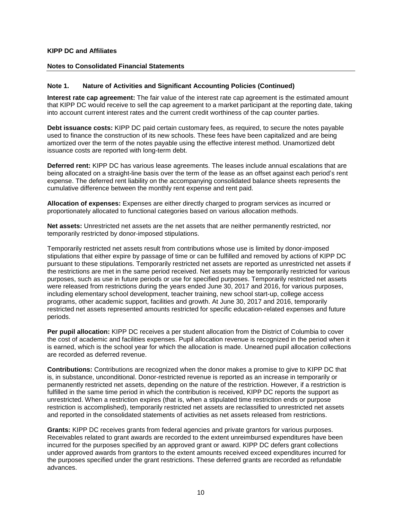#### **Notes to Consolidated Financial Statements**

## **Note 1. Nature of Activities and Significant Accounting Policies (Continued)**

**Interest rate cap agreement:** The fair value of the interest rate cap agreement is the estimated amount that KIPP DC would receive to sell the cap agreement to a market participant at the reporting date, taking into account current interest rates and the current credit worthiness of the cap counter parties.

**Debt issuance costs:** KIPP DC paid certain customary fees, as required, to secure the notes payable used to finance the construction of its new schools. These fees have been capitalized and are being amortized over the term of the notes payable using the effective interest method. Unamortized debt issuance costs are reported with long-term debt.

**Deferred rent:** KIPP DC has various lease agreements. The leases include annual escalations that are being allocated on a straight-line basis over the term of the lease as an offset against each period's rent expense. The deferred rent liability on the accompanying consolidated balance sheets represents the cumulative difference between the monthly rent expense and rent paid.

**Allocation of expenses:** Expenses are either directly charged to program services as incurred or proportionately allocated to functional categories based on various allocation methods.

**Net assets:** Unrestricted net assets are the net assets that are neither permanently restricted, nor temporarily restricted by donor-imposed stipulations.

Temporarily restricted net assets result from contributions whose use is limited by donor-imposed stipulations that either expire by passage of time or can be fulfilled and removed by actions of KIPP DC pursuant to these stipulations. Temporarily restricted net assets are reported as unrestricted net assets if the restrictions are met in the same period received. Net assets may be temporarily restricted for various purposes, such as use in future periods or use for specified purposes. Temporarily restricted net assets were released from restrictions during the years ended June 30, 2017 and 2016, for various purposes, including elementary school development, teacher training, new school start-up, college access programs, other academic support, facilities and growth. At June 30, 2017 and 2016, temporarily restricted net assets represented amounts restricted for specific education-related expenses and future periods.

**Per pupil allocation:** KIPP DC receives a per student allocation from the District of Columbia to cover the cost of academic and facilities expenses. Pupil allocation revenue is recognized in the period when it is earned, which is the school year for which the allocation is made. Unearned pupil allocation collections are recorded as deferred revenue.

**Contributions:** Contributions are recognized when the donor makes a promise to give to KIPP DC that is, in substance, unconditional. Donor-restricted revenue is reported as an increase in temporarily or permanently restricted net assets, depending on the nature of the restriction. However, if a restriction is fulfilled in the same time period in which the contribution is received, KIPP DC reports the support as unrestricted. When a restriction expires (that is, when a stipulated time restriction ends or purpose restriction is accomplished), temporarily restricted net assets are reclassified to unrestricted net assets and reported in the consolidated statements of activities as net assets released from restrictions.

**Grants:** KIPP DC receives grants from federal agencies and private grantors for various purposes. Receivables related to grant awards are recorded to the extent unreimbursed expenditures have been incurred for the purposes specified by an approved grant or award. KIPP DC defers grant collections under approved awards from grantors to the extent amounts received exceed expenditures incurred for the purposes specified under the grant restrictions. These deferred grants are recorded as refundable advances.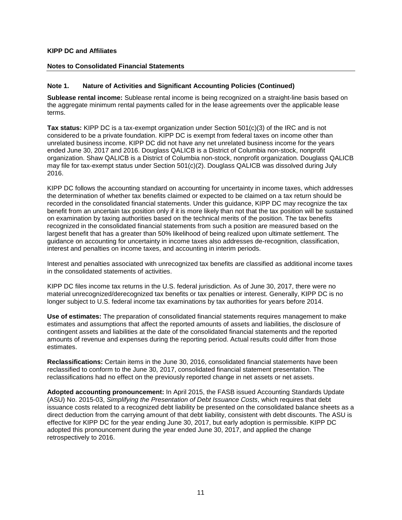#### **Notes to Consolidated Financial Statements**

## **Note 1. Nature of Activities and Significant Accounting Policies (Continued)**

**Sublease rental income:** Sublease rental income is being recognized on a straight-line basis based on the aggregate minimum rental payments called for in the lease agreements over the applicable lease terms.

**Tax status:** KIPP DC is a tax-exempt organization under Section 501(c)(3) of the IRC and is not considered to be a private foundation. KIPP DC is exempt from federal taxes on income other than unrelated business income. KIPP DC did not have any net unrelated business income for the years ended June 30, 2017 and 2016. Douglass QALICB is a District of Columbia non-stock, nonprofit organization. Shaw QALICB is a District of Columbia non-stock, nonprofit organization. Douglass QALICB may file for tax-exempt status under Section 501(c)(2). Douglass QALICB was dissolved during July 2016.

KIPP DC follows the accounting standard on accounting for uncertainty in income taxes, which addresses the determination of whether tax benefits claimed or expected to be claimed on a tax return should be recorded in the consolidated financial statements. Under this guidance, KIPP DC may recognize the tax benefit from an uncertain tax position only if it is more likely than not that the tax position will be sustained on examination by taxing authorities based on the technical merits of the position. The tax benefits recognized in the consolidated financial statements from such a position are measured based on the largest benefit that has a greater than 50% likelihood of being realized upon ultimate settlement. The guidance on accounting for uncertainty in income taxes also addresses de-recognition, classification, interest and penalties on income taxes, and accounting in interim periods.

Interest and penalties associated with unrecognized tax benefits are classified as additional income taxes in the consolidated statements of activities.

KIPP DC files income tax returns in the U.S. federal jurisdiction. As of June 30, 2017, there were no material unrecognized/derecognized tax benefits or tax penalties or interest. Generally, KIPP DC is no longer subject to U.S. federal income tax examinations by tax authorities for years before 2014.

**Use of estimates:** The preparation of consolidated financial statements requires management to make estimates and assumptions that affect the reported amounts of assets and liabilities, the disclosure of contingent assets and liabilities at the date of the consolidated financial statements and the reported amounts of revenue and expenses during the reporting period. Actual results could differ from those estimates.

**Reclassifications:** Certain items in the June 30, 2016, consolidated financial statements have been reclassified to conform to the June 30, 2017, consolidated financial statement presentation. The reclassifications had no effect on the previously reported change in net assets or net assets.

**Adopted accounting pronouncement:** In April 2015, the FASB issued Accounting Standards Update (ASU) No. 2015-03, *Simplifying the Presentation of Debt Issuance Costs*, which requires that debt issuance costs related to a recognized debt liability be presented on the consolidated balance sheets as a direct deduction from the carrying amount of that debt liability, consistent with debt discounts. The ASU is effective for KIPP DC for the year ending June 30, 2017, but early adoption is permissible. KIPP DC adopted this pronouncement during the year ended June 30, 2017, and applied the change retrospectively to 2016.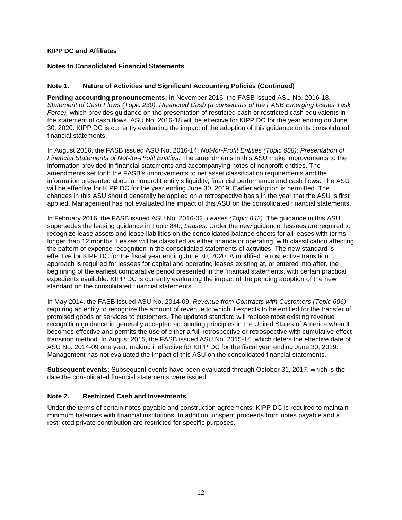#### **Notes to Consolidated Financial Statements**

## **Note 1. Nature of Activities and Significant Accounting Policies (Continued)**

**Pending accounting pronouncements:** In November 2016, the FASB issued ASU No. 2016-18, *Statement of Cash Flows (Topic 230): Restricted Cash (a consensus of the FASB Emerging Issues Task Force),* which provides guidance on the presentation of restricted cash or restricted cash equivalents in the statement of cash flows. ASU No. 2016-18 will be effective for KIPP DC for the year ending on June 30, 2020. KIPP DC is currently evaluating the impact of the adoption of this guidance on its consolidated financial statements.

In August 2016, the FASB issued ASU No. 2016-14, *Not-for-Profit Entities (Topic 958): Presentation of Financial Statements of Not-for-Profit Entities.* The amendments in this ASU make improvements to the information provided in financial statements and accompanying notes of nonprofit entities. The amendments set forth the FASB's improvements to net asset classification requirements and the information presented about a nonprofit entity's liquidity, financial performance and cash flows. The ASU will be effective for KIPP DC for the year ending June 30, 2019. Earlier adoption is permitted. The changes in this ASU should generally be applied on a retrospective basis in the year that the ASU is first applied. Management has not evaluated the impact of this ASU on the consolidated financial statements.

In February 2016, the FASB issued ASU No. 2016-02, *Leases (Topic 842).* The guidance in this ASU supersedes the leasing guidance in Topic 840, *Leases.* Under the new guidance, lessees are required to recognize lease assets and lease liabilities on the consolidated balance sheets for all leases with terms longer than 12 months. Leases will be classified as either finance or operating, with classification affecting the pattern of expense recognition in the consolidated statements of activities. The new standard is effective for KIPP DC for the fiscal year ending June 30, 2020. A modified retrospective transition approach is required for lessees for capital and operating leases existing at, or entered into after, the beginning of the earliest comparative period presented in the financial statements, with certain practical expedients available. KIPP DC is currently evaluating the impact of the pending adoption of the new standard on the consolidated financial statements.

In May 2014, the FASB issued ASU No. 2014-09, *Revenue from Contracts with Customers (Topic 606)*, requiring an entity to recognize the amount of revenue to which it expects to be entitled for the transfer of promised goods or services to customers. The updated standard will replace most existing revenue recognition guidance in generally accepted accounting principles in the United States of America when it becomes effective and permits the use of either a full retrospective or retrospective with cumulative effect transition method. In August 2015, the FASB issued ASU No. 2015-14, which defers the effective date of ASU No. 2014-09 one year, making it effective for KIPP DC for the fiscal year ending June 30, 2019. Management has not evaluated the impact of this ASU on the consolidated financial statements.

**Subsequent events:** Subsequent events have been evaluated through October 31, 2017, which is the date the consolidated financial statements were issued.

#### **Note 2. Restricted Cash and Investments**

Under the terms of certain notes payable and construction agreements, KIPP DC is required to maintain minimum balances with financial institutions. In addition, unspent proceeds from notes payable and a restricted private contribution are restricted for specific purposes.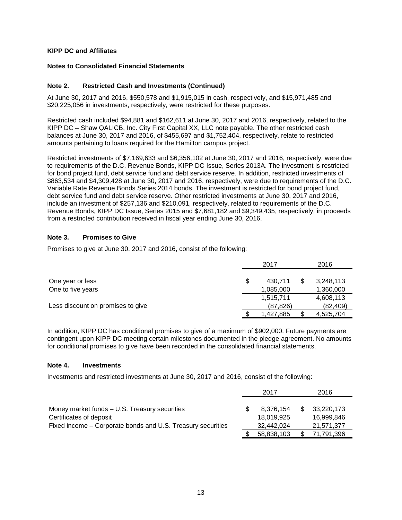## **Notes to Consolidated Financial Statements**

## **Note 2. Restricted Cash and Investments (Continued)**

At June 30, 2017 and 2016, \$550,578 and \$1,915,015 in cash, respectively, and \$15,971,485 and \$20,225,056 in investments, respectively, were restricted for these purposes.

Restricted cash included \$94,881 and \$162,611 at June 30, 2017 and 2016, respectively, related to the KIPP DC – Shaw QALICB, Inc. City First Capital XX, LLC note payable. The other restricted cash balances at June 30, 2017 and 2016, of \$455,697 and \$1,752,404, respectively, relate to restricted amounts pertaining to loans required for the Hamilton campus project.

Restricted investments of \$7,169,633 and \$6,356,102 at June 30, 2017 and 2016, respectively, were due to requirements of the D.C. Revenue Bonds, KIPP DC Issue, Series 2013A. The investment is restricted for bond project fund, debt service fund and debt service reserve. In addition, restricted investments of \$863,534 and \$4,309,428 at June 30, 2017 and 2016, respectively, were due to requirements of the D.C. Variable Rate Revenue Bonds Series 2014 bonds. The investment is restricted for bond project fund, debt service fund and debt service reserve. Other restricted investments at June 30, 2017 and 2016, include an investment of \$257,136 and \$210,091, respectively, related to requirements of the D.C. Revenue Bonds, KIPP DC Issue, Series 2015 and \$7,681,182 and \$9,349,435, respectively, in proceeds from a restricted contribution received in fiscal year ending June 30, 2016.

## **Note 3. Promises to Give**

Promises to give at June 30, 2017 and 2016, consist of the following:

|                                   |   | 2017      |  | 2016      |
|-----------------------------------|---|-----------|--|-----------|
| One year or less                  | S | 430.711   |  | 3,248,113 |
| One to five years                 |   | 1,085,000 |  | 1,360,000 |
|                                   |   | 1,515,711 |  | 4,608,113 |
| Less discount on promises to give |   | (87, 826) |  | (82, 409) |
|                                   |   | 1,427,885 |  | 4,525,704 |

In addition, KIPP DC has conditional promises to give of a maximum of \$902,000. Future payments are contingent upon KIPP DC meeting certain milestones documented in the pledge agreement. No amounts for conditional promises to give have been recorded in the consolidated financial statements.

## **Note 4. Investments**

Investments and restricted investments at June 30, 2017 and 2016, consist of the following:

|                                                             | 2017       | 2016       |
|-------------------------------------------------------------|------------|------------|
|                                                             |            |            |
| Money market funds - U.S. Treasury securities               | 8.376.154  | 33,220,173 |
| Certificates of deposit                                     | 18,019,925 | 16.999.846 |
| Fixed income – Corporate bonds and U.S. Treasury securities | 32.442.024 | 21,571,377 |
|                                                             | 58,838,103 | 71,791,396 |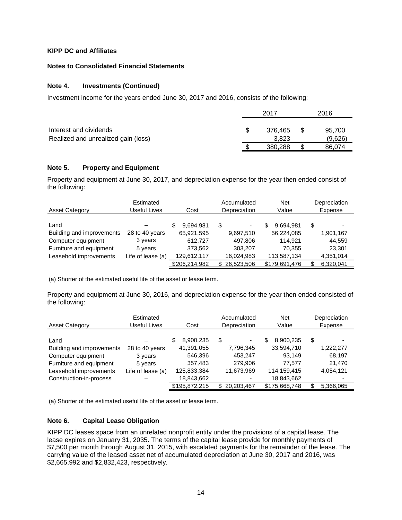## **Notes to Consolidated Financial Statements**

## **Note 4. Investments (Continued)**

Investment income for the years ended June 30, 2017 and 2016, consists of the following:

|                                                               | 2017             |   | 2016              |
|---------------------------------------------------------------|------------------|---|-------------------|
| Interest and dividends<br>Realized and unrealized gain (loss) | 376.465<br>3.823 |   | 95,700<br>(9,626) |
|                                                               | 380,288          | S | 86.074            |

## **Note 5. Property and Equipment**

Property and equipment at June 30, 2017, and depreciation expense for the year then ended consist of the following:

| <b>Asset Category</b>     | Estimated<br>Useful Lives | Cost           | Accumulated<br>Depreciation    | <b>Net</b><br>Value | Depreciation<br>Expense |
|---------------------------|---------------------------|----------------|--------------------------------|---------------------|-------------------------|
| Land                      |                           | 9.694.981<br>S | \$<br>$\overline{\phantom{a}}$ | 9,694,981<br>S      | S                       |
| Building and improvements | 28 to 40 years            | 65,921,595     | 9,697,510                      | 56,224,085          | 1,901,167               |
| Computer equipment        | 3 years                   | 612.727        | 497,806                        | 114.921             | 44,559                  |
| Furniture and equipment   | 5 years                   | 373,562        | 303,207                        | 70.355              | 23,301                  |
| Leasehold improvements    | Life of lease (a)         | 129,612,117    | 16,024,983                     | 113,587,134         | 4,351,014               |
|                           |                           | \$206,214,982  | 26,523,506<br>S.               | \$179,691,476       | 6,320,041               |

(a) Shorter of the estimated useful life of the asset or lease term.

Property and equipment at June 30, 2016, and depreciation expense for the year then ended consisted of the following:

| <b>Asset Category</b>     | Estimated<br>Useful Lives | Cost           | Accumulated<br>Depreciation | <b>Net</b><br>Value | Depreciation<br>Expense |
|---------------------------|---------------------------|----------------|-----------------------------|---------------------|-------------------------|
| Land                      |                           | 8,900,235<br>S | \$<br>٠                     | 8,900,235<br>S      | \$                      |
| Building and improvements | 28 to 40 years            | 41,391,055     | 7,796,345                   | 33,594,710          | 1,222,277               |
| Computer equipment        | 3 years                   | 546,396        | 453,247                     | 93.149              | 68,197                  |
| Furniture and equipment   | 5 years                   | 357.483        | 279.906                     | 77.577              | 21.470                  |
| Leasehold improvements    | Life of lease (a)         | 125,833,384    | 11,673,969                  | 114,159,415         | 4,054,121               |
| Construction-in-process   |                           | 18,843,662     |                             | 18,843,662          |                         |
|                           |                           | \$195,872,215  | \$20,203,467                | \$175,668,748       | 5,366,065               |

(a) Shorter of the estimated useful life of the asset or lease term.

## **Note 6. Capital Lease Obligation**

KIPP DC leases space from an unrelated nonprofit entity under the provisions of a capital lease. The lease expires on January 31, 2035. The terms of the capital lease provide for monthly payments of \$7,500 per month through August 31, 2015, with escalated payments for the remainder of the lease. The carrying value of the leased asset net of accumulated depreciation at June 30, 2017 and 2016, was \$2,665,992 and \$2,832,423, respectively.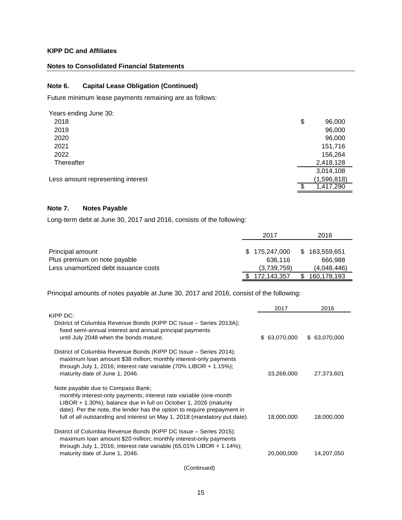## **Notes to Consolidated Financial Statements**

## **Note 6. Capital Lease Obligation (Continued)**

Future minimum lease payments remaining are as follows:

| Years ending June 30:             |           |             |
|-----------------------------------|-----------|-------------|
| 2018                              | \$        | 96,000      |
| 2019                              |           | 96,000      |
| 2020                              |           | 96,000      |
| 2021                              |           | 151,716     |
| 2022                              |           | 156,264     |
| Thereafter                        | 2,418,128 |             |
|                                   | 3,014,108 |             |
| Less amount representing interest |           | (1,596,818) |
|                                   |           | 1,417,290   |

## **Note 7. Notes Payable**

Long-term debt at June 30, 2017 and 2016, consists of the following:

|                                      | 2017          | 2016              |
|--------------------------------------|---------------|-------------------|
|                                      |               |                   |
| Principal amount                     | \$175,247,000 | \$<br>163,559,651 |
| Plus premium on note payable         | 636.116       | 666.988           |
| Less unamortized debt issuance costs | (3,739,759)   | (4,048,446)       |
|                                      | 172,143,357   | 160,178,193       |

Principal amounts of notes payable at June 30, 2017 and 2016, consist of the following:

|                                                                                                                                                                                                                                                                                                                                    | 2017         | 2016          |
|------------------------------------------------------------------------------------------------------------------------------------------------------------------------------------------------------------------------------------------------------------------------------------------------------------------------------------|--------------|---------------|
| $KIPP$ $DC:$                                                                                                                                                                                                                                                                                                                       |              |               |
| District of Columbia Revenue Bonds (KIPP DC Issue - Series 2013A);<br>fixed semi-annual interest and annual principal payments<br>until July 2048 when the bonds mature.                                                                                                                                                           | \$63,070,000 | \$ 63,070,000 |
| District of Columbia Revenue Bonds (KIPP DC Issue - Series 2014);<br>maximum loan amount \$38 million; monthly interest-only payments<br>through July 1, 2016; interest rate variable $(70\%$ LIBOR + 1.15%);<br>maturity date of June 1, 2046.                                                                                    | 33,268,000   | 27,373,601    |
| Note payable due to Compass Bank;<br>monthly interest-only payments; interest rate variable (one-month<br>LIBOR + 1.30%); balance due in full on October 1, 2026 (maturity<br>date). Per the note, the lender has the option to require prepayment in<br>full of all outstanding and interest on May 1, 2018 (mandatory put date). | 18,000,000   | 18,000,000    |
| District of Columbia Revenue Bonds (KIPP DC Issue – Series 2015);<br>maximum loan amount \$20 million; monthly interest-only payments<br>through July 1, 2016; interest rate variable $(65.01\%$ LIBOR + 1.14%);<br>maturity date of June 1, 2046.                                                                                 | 20,000,000   | 14,207,050    |

(Continued)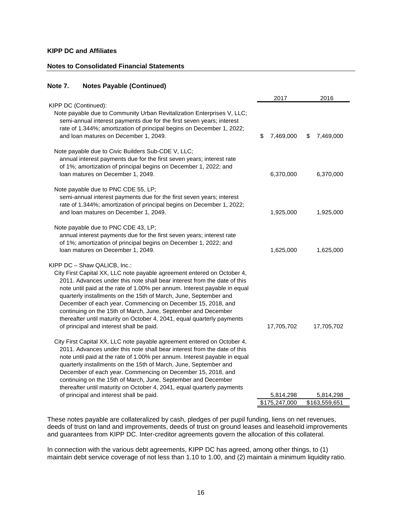#### **Notes to Consolidated Financial Statements**

## **Note 7. Notes Payable (Continued)**

|                                                                                                                                                                                                                                                                                                                                                                                                                                                                                                                                                                                            | 2017            | 2016           |
|--------------------------------------------------------------------------------------------------------------------------------------------------------------------------------------------------------------------------------------------------------------------------------------------------------------------------------------------------------------------------------------------------------------------------------------------------------------------------------------------------------------------------------------------------------------------------------------------|-----------------|----------------|
| KIPP DC (Continued):<br>Note payable due to Community Urban Revitalization Enterprises V, LLC;<br>semi-annual interest payments due for the first seven years; interest<br>rate of 1.344%; amortization of principal begins on December 1, 2022;<br>and loan matures on December 1, 2049.                                                                                                                                                                                                                                                                                                  | \$<br>7,469,000 | 7,469,000<br>S |
| Note payable due to Civic Builders Sub-CDE V, LLC;<br>annual interest payments due for the first seven years; interest rate<br>of 1%; amortization of principal begins on December 1, 2022; and<br>loan matures on December 1, 2049.                                                                                                                                                                                                                                                                                                                                                       | 6,370,000       | 6,370,000      |
| Note payable due to PNC CDE 55, LP;<br>semi-annual interest payments due for the first seven years; interest<br>rate of 1.344%; amortization of principal begins on December 1, 2022;<br>and loan matures on December 1, 2049.                                                                                                                                                                                                                                                                                                                                                             | 1,925,000       | 1,925,000      |
| Note payable due to PNC CDE 43, LP;<br>annual interest payments due for the first seven years; interest rate<br>of 1%; amortization of principal begins on December 1, 2022; and<br>loan matures on December 1, 2049.                                                                                                                                                                                                                                                                                                                                                                      | 1,625,000       | 1,625,000      |
| KIPP DC - Shaw QALICB, Inc.:<br>City First Capital XX, LLC note payable agreement entered on October 4,<br>2011. Advances under this note shall bear interest from the date of this<br>note until paid at the rate of 1.00% per annum. Interest payable in equal<br>quarterly installments on the 15th of March, June, September and<br>December of each year. Commencing on December 15, 2018, and<br>continuing on the 15th of March, June, September and December<br>thereafter until maturity on October 4, 2041, equal quarterly payments<br>of principal and interest shall be paid. | 17,705,702      | 17,705,702     |
| City First Capital XX, LLC note payable agreement entered on October 4,<br>2011. Advances under this note shall bear interest from the date of this<br>note until paid at the rate of 1.00% per annum. Interest payable in equal<br>quarterly installments on the 15th of March, June, September and<br>December of each year. Commencing on December 15, 2018, and<br>continuing on the 15th of March, June, September and December<br>thereafter until maturity on October 4, 2041, equal quarterly payments                                                                             |                 |                |
| of principal and interest shall be paid.                                                                                                                                                                                                                                                                                                                                                                                                                                                                                                                                                   | 5,814,298       | 5,814,298      |
|                                                                                                                                                                                                                                                                                                                                                                                                                                                                                                                                                                                            | \$175,247,000   | \$163,559,651  |

These notes payable are collateralized by cash, pledges of per pupil funding, liens on net revenues, deeds of trust on land and improvements, deeds of trust on ground leases and leasehold improvements and guarantees from KIPP DC. Inter-creditor agreements govern the allocation of this collateral.

In connection with the various debt agreements, KIPP DC has agreed, among other things, to (1) maintain debt service coverage of not less than 1.10 to 1.00, and (2) maintain a minimum liquidity ratio.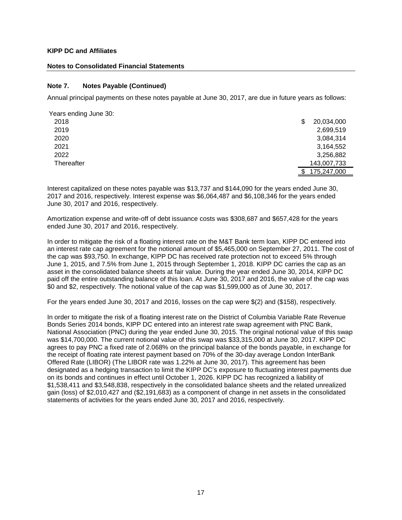#### **Notes to Consolidated Financial Statements**

## **Note 7. Notes Payable (Continued)**

Annual principal payments on these notes payable at June 30, 2017, are due in future years as follows:

| Years ending June 30: |                  |
|-----------------------|------------------|
| 2018                  | 20,034,000<br>\$ |
| 2019                  | 2,699,519        |
| 2020                  | 3,084,314        |
| 2021                  | 3,164,552        |
| 2022                  | 3,256,882        |
| Thereafter            | 143,007,733      |
|                       | 175,247,000      |

Interest capitalized on these notes payable was \$13,737 and \$144,090 for the years ended June 30, 2017 and 2016, respectively. Interest expense was \$6,064,487 and \$6,108,346 for the years ended June 30, 2017 and 2016, respectively.

Amortization expense and write-off of debt issuance costs was \$308,687 and \$657,428 for the years ended June 30, 2017 and 2016, respectively.

In order to mitigate the risk of a floating interest rate on the M&T Bank term loan, KIPP DC entered into an interest rate cap agreement for the notional amount of \$5,465,000 on September 27, 2011. The cost of the cap was \$93,750. In exchange, KIPP DC has received rate protection not to exceed 5% through June 1, 2015, and 7.5% from June 1, 2015 through September 1, 2018. KIPP DC carries the cap as an asset in the consolidated balance sheets at fair value. During the year ended June 30, 2014, KIPP DC paid off the entire outstanding balance of this loan. At June 30, 2017 and 2016, the value of the cap was \$0 and \$2, respectively. The notional value of the cap was \$1,599,000 as of June 30, 2017.

For the years ended June 30, 2017 and 2016, losses on the cap were \$(2) and (\$158), respectively.

In order to mitigate the risk of a floating interest rate on the District of Columbia Variable Rate Revenue Bonds Series 2014 bonds, KIPP DC entered into an interest rate swap agreement with PNC Bank, National Association (PNC) during the year ended June 30, 2015. The original notional value of this swap was \$14,700,000. The current notional value of this swap was \$33,315,000 at June 30, 2017. KIPP DC agrees to pay PNC a fixed rate of 2.068% on the principal balance of the bonds payable, in exchange for the receipt of floating rate interest payment based on 70% of the 30-day average London InterBank Offered Rate (LIBOR) (The LIBOR rate was 1.22% at June 30, 2017). This agreement has been designated as a hedging transaction to limit the KIPP DC's exposure to fluctuating interest payments due on its bonds and continues in effect until October 1, 2026. KIPP DC has recognized a liability of \$1,538,411 and \$3,548,838, respectively in the consolidated balance sheets and the related unrealized gain (loss) of \$2,010,427 and (\$2,191,683) as a component of change in net assets in the consolidated statements of activities for the years ended June 30, 2017 and 2016, respectively.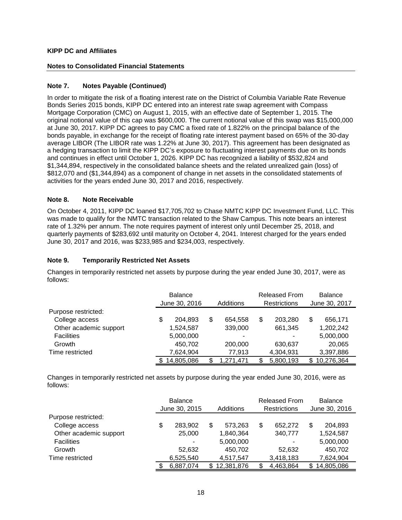## **Notes to Consolidated Financial Statements**

## **Note 7. Notes Payable (Continued)**

In order to mitigate the risk of a floating interest rate on the District of Columbia Variable Rate Revenue Bonds Series 2015 bonds, KIPP DC entered into an interest rate swap agreement with Compass Mortgage Corporation (CMC) on August 1, 2015, with an effective date of September 1, 2015. The original notional value of this cap was \$600,000. The current notional value of this swap was \$15,000,000 at June 30, 2017. KIPP DC agrees to pay CMC a fixed rate of 1.822% on the principal balance of the bonds payable, in exchange for the receipt of floating rate interest payment based on 65% of the 30-day average LIBOR (The LIBOR rate was 1.22% at June 30, 2017). This agreement has been designated as a hedging transaction to limit the KIPP DC's exposure to fluctuating interest payments due on its bonds and continues in effect until October 1, 2026. KIPP DC has recognized a liability of \$532,824 and \$1,344,894, respectively in the consolidated balance sheets and the related unrealized gain (loss) of \$812,070 and (\$1,344,894) as a component of change in net assets in the consolidated statements of activities for the years ended June 30, 2017 and 2016, respectively.

## **Note 8. Note Receivable**

On October 4, 2011, KIPP DC loaned \$17,705,702 to Chase NMTC KIPP DC Investment Fund, LLC. This was made to qualify for the NMTC transaction related to the Shaw Campus. This note bears an interest rate of 1.32% per annum. The note requires payment of interest only until December 25, 2018, and quarterly payments of \$283,692 until maturity on October 4, 2041. Interest charged for the years ended June 30, 2017 and 2016, was \$233,985 and \$234,003, respectively.

## **Note 9. Temporarily Restricted Net Assets**

Changes in temporarily restricted net assets by purpose during the year ended June 30, 2017, were as follows:

|                        | <b>Balance</b>             |   |           |    | <b>Released From</b> | <b>Balance</b> |               |  |
|------------------------|----------------------------|---|-----------|----|----------------------|----------------|---------------|--|
|                        | June 30, 2016<br>Additions |   |           |    | <b>Restrictions</b>  |                | June 30, 2017 |  |
| Purpose restricted:    |                            |   |           |    |                      |                |               |  |
| College access         | \$<br>204.893              | S | 654.558   | \$ | 203.280              | \$             | 656,171       |  |
| Other academic support | 1,524,587                  |   | 339,000   |    | 661,345              |                | 1,202,242     |  |
| <b>Facilities</b>      | 5,000,000                  |   | -         |    |                      |                | 5,000,000     |  |
| Growth                 | 450,702                    |   | 200,000   |    | 630,637              |                | 20,065        |  |
| Time restricted        | 7,624,904                  |   | 77,913    |    | 4,304,931            |                | 3,397,886     |  |
|                        | 14,805,086                 |   | 1,271,471 |    | 5,800,193            |                | 10,276,364    |  |

Changes in temporarily restricted net assets by purpose during the year ended June 30, 2016, were as follows:

|                        | <b>Balance</b> |           |            |    | <b>Released From</b> | <b>Balance</b> |               |  |
|------------------------|----------------|-----------|------------|----|----------------------|----------------|---------------|--|
|                        | June 30, 2015  | Additions |            |    | <b>Restrictions</b>  |                | June 30, 2016 |  |
| Purpose restricted:    |                |           |            |    |                      |                |               |  |
| College access         | \$<br>283,902  | \$        | 573,263    | \$ | 652.272              | S              | 204,893       |  |
| Other academic support | 25,000         |           | 1.840.364  |    | 340.777              |                | 1,524,587     |  |
| <b>Facilities</b>      | -              |           | 5,000,000  |    | ٠                    |                | 5,000,000     |  |
| Growth                 | 52,632         |           | 450,702    |    | 52,632               |                | 450,702       |  |
| Time restricted        | 6,525,540      |           | 4,517,547  |    | 3,418,183            |                | 7,624,904     |  |
|                        | 6,887,074      |           | 12,381,876 |    | 4,463,864            |                | 14,805,086    |  |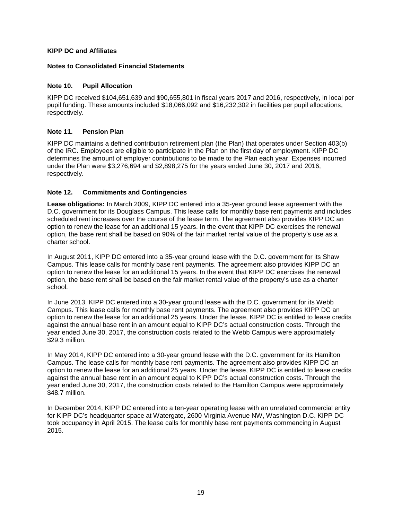## **Notes to Consolidated Financial Statements**

## **Note 10. Pupil Allocation**

KIPP DC received \$104,651,639 and \$90,655,801 in fiscal years 2017 and 2016, respectively, in local per pupil funding. These amounts included \$18,066,092 and \$16,232,302 in facilities per pupil allocations, respectively.

## **Note 11. Pension Plan**

KIPP DC maintains a defined contribution retirement plan (the Plan) that operates under Section 403(b) of the IRC. Employees are eligible to participate in the Plan on the first day of employment. KIPP DC determines the amount of employer contributions to be made to the Plan each year. Expenses incurred under the Plan were \$3,276,694 and \$2,898,275 for the years ended June 30, 2017 and 2016, respectively.

# **Note 12. Commitments and Contingencies**

**Lease obligations:** In March 2009, KIPP DC entered into a 35-year ground lease agreement with the D.C. government for its Douglass Campus. This lease calls for monthly base rent payments and includes scheduled rent increases over the course of the lease term. The agreement also provides KIPP DC an option to renew the lease for an additional 15 years. In the event that KIPP DC exercises the renewal option, the base rent shall be based on 90% of the fair market rental value of the property's use as a charter school.

In August 2011, KIPP DC entered into a 35-year ground lease with the D.C. government for its Shaw Campus. This lease calls for monthly base rent payments. The agreement also provides KIPP DC an option to renew the lease for an additional 15 years. In the event that KIPP DC exercises the renewal option, the base rent shall be based on the fair market rental value of the property's use as a charter school.

In June 2013, KIPP DC entered into a 30-year ground lease with the D.C. government for its Webb Campus. This lease calls for monthly base rent payments. The agreement also provides KIPP DC an option to renew the lease for an additional 25 years. Under the lease, KIPP DC is entitled to lease credits against the annual base rent in an amount equal to KIPP DC's actual construction costs. Through the year ended June 30, 2017, the construction costs related to the Webb Campus were approximately \$29.3 million.

In May 2014, KIPP DC entered into a 30-year ground lease with the D.C. government for its Hamilton Campus. The lease calls for monthly base rent payments. The agreement also provides KIPP DC an option to renew the lease for an additional 25 years. Under the lease, KIPP DC is entitled to lease credits against the annual base rent in an amount equal to KIPP DC's actual construction costs. Through the year ended June 30, 2017, the construction costs related to the Hamilton Campus were approximately \$48.7 million.

In December 2014, KIPP DC entered into a ten-year operating lease with an unrelated commercial entity for KIPP DC's headquarter space at Watergate, 2600 Virginia Avenue NW, Washington D.C. KIPP DC took occupancy in April 2015. The lease calls for monthly base rent payments commencing in August 2015.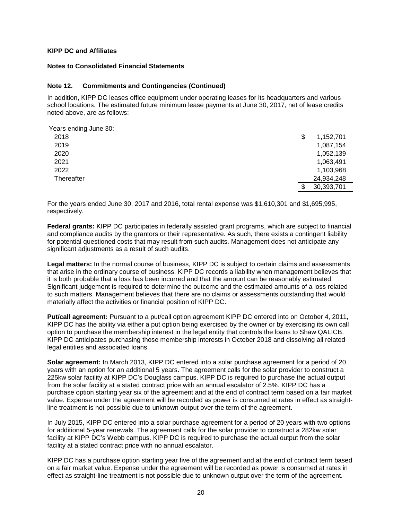#### **Notes to Consolidated Financial Statements**

#### **Note 12. Commitments and Contingencies (Continued)**

In addition, KIPP DC leases office equipment under operating leases for its headquarters and various school locations. The estimated future minimum lease payments at June 30, 2017, net of lease credits noted above, are as follows:

| Years ending June 30: |                 |
|-----------------------|-----------------|
| 2018                  | \$<br>1,152,701 |
| 2019                  | 1,087,154       |
| 2020                  | 1,052,139       |
| 2021                  | 1,063,491       |
| 2022                  | 1,103,968       |
| Thereafter            | 24,934,248      |
|                       | 30,393,701      |

For the years ended June 30, 2017 and 2016, total rental expense was \$1,610,301 and \$1,695,995, respectively.

**Federal grants:** KIPP DC participates in federally assisted grant programs, which are subject to financial and compliance audits by the grantors or their representative. As such, there exists a contingent liability for potential questioned costs that may result from such audits. Management does not anticipate any significant adjustments as a result of such audits.

**Legal matters:** In the normal course of business, KIPP DC is subject to certain claims and assessments that arise in the ordinary course of business. KIPP DC records a liability when management believes that it is both probable that a loss has been incurred and that the amount can be reasonably estimated. Significant judgement is required to determine the outcome and the estimated amounts of a loss related to such matters. Management believes that there are no claims or assessments outstanding that would materially affect the activities or financial position of KIPP DC.

**Put/call agreement:** Pursuant to a put/call option agreement KIPP DC entered into on October 4, 2011, KIPP DC has the ability via either a put option being exercised by the owner or by exercising its own call option to purchase the membership interest in the legal entity that controls the loans to Shaw QALICB. KIPP DC anticipates purchasing those membership interests in October 2018 and dissolving all related legal entities and associated loans.

**Solar agreement:** In March 2013, KIPP DC entered into a solar purchase agreement for a period of 20 years with an option for an additional 5 years. The agreement calls for the solar provider to construct a 225kw solar facility at KIPP DC's Douglass campus. KIPP DC is required to purchase the actual output from the solar facility at a stated contract price with an annual escalator of 2.5%. KIPP DC has a purchase option starting year six of the agreement and at the end of contract term based on a fair market value. Expense under the agreement will be recorded as power is consumed at rates in effect as straightline treatment is not possible due to unknown output over the term of the agreement.

In July 2015, KIPP DC entered into a solar purchase agreement for a period of 20 years with two options for additional 5-year renewals. The agreement calls for the solar provider to construct a 282kw solar facility at KIPP DC's Webb campus. KIPP DC is required to purchase the actual output from the solar facility at a stated contract price with no annual escalator.

KIPP DC has a purchase option starting year five of the agreement and at the end of contract term based on a fair market value. Expense under the agreement will be recorded as power is consumed at rates in effect as straight-line treatment is not possible due to unknown output over the term of the agreement.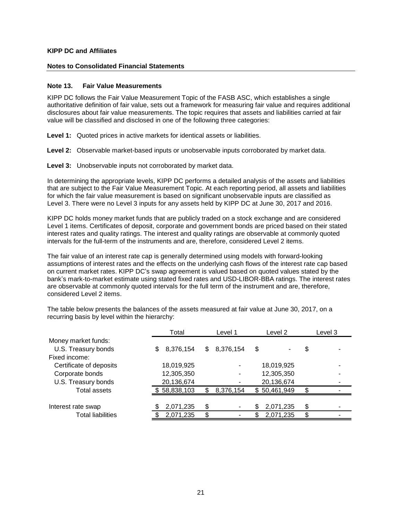#### **Notes to Consolidated Financial Statements**

#### **Note 13. Fair Value Measurements**

KIPP DC follows the Fair Value Measurement Topic of the FASB ASC, which establishes a single authoritative definition of fair value, sets out a framework for measuring fair value and requires additional disclosures about fair value measurements. The topic requires that assets and liabilities carried at fair value will be classified and disclosed in one of the following three categories:

**Level 1:** Quoted prices in active markets for identical assets or liabilities.

**Level 2:** Observable market-based inputs or unobservable inputs corroborated by market data.

**Level 3:** Unobservable inputs not corroborated by market data.

In determining the appropriate levels, KIPP DC performs a detailed analysis of the assets and liabilities that are subject to the Fair Value Measurement Topic. At each reporting period, all assets and liabilities for which the fair value measurement is based on significant unobservable inputs are classified as Level 3. There were no Level 3 inputs for any assets held by KIPP DC at June 30, 2017 and 2016.

KIPP DC holds money market funds that are publicly traded on a stock exchange and are considered Level 1 items. Certificates of deposit, corporate and government bonds are priced based on their stated interest rates and quality ratings. The interest and quality ratings are observable at commonly quoted intervals for the full-term of the instruments and are, therefore, considered Level 2 items.

The fair value of an interest rate cap is generally determined using models with forward-looking assumptions of interest rates and the effects on the underlying cash flows of the interest rate cap based on current market rates. KIPP DC's swap agreement is valued based on quoted values stated by the bank's mark-to-market estimate using stated fixed rates and USD-LIBOR-BBA ratings. The interest rates are observable at commonly quoted intervals for the full term of the instrument and are, therefore, considered Level 2 items.

|                          | Total            | Level 1          | Level 2        | Level 3 |  |  |
|--------------------------|------------------|------------------|----------------|---------|--|--|
| Money market funds:      |                  |                  |                |         |  |  |
| U.S. Treasury bonds      | 8,376,154<br>\$. | 8,376,154<br>\$. | \$             | \$      |  |  |
| Fixed income:            |                  |                  |                |         |  |  |
| Certificate of deposits  | 18,019,925       |                  | 18,019,925     |         |  |  |
| Corporate bonds          | 12,305,350       |                  | 12,305,350     |         |  |  |
| U.S. Treasury bonds      | 20,136,674       |                  | 20,136,674     |         |  |  |
| <b>Total assets</b>      | 58,838,103       | 8,376,154        | \$50,461,949   | \$.     |  |  |
|                          |                  |                  |                |         |  |  |
| Interest rate swap       | 2,071,235        | \$               | 2,071,235<br>S | \$      |  |  |
| <b>Total liabilities</b> | 2,071,235        |                  | 2,071,235      | c       |  |  |

The table below presents the balances of the assets measured at fair value at June 30, 2017, on a recurring basis by level within the hierarchy: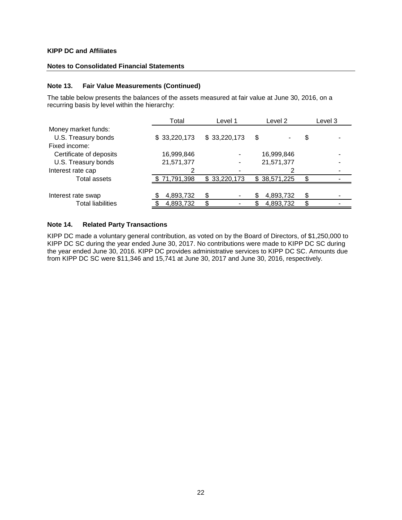## **Notes to Consolidated Financial Statements**

#### **Note 13. Fair Value Measurements (Continued)**

The table below presents the balances of the assets measured at fair value at June 30, 2016, on a recurring basis by level within the hierarchy:

|                          | Level 1<br>Total |              | Level 2      | Level 3 |
|--------------------------|------------------|--------------|--------------|---------|
| Money market funds:      |                  |              |              |         |
| U.S. Treasury bonds      | \$33,220,173     | \$33,220,173 | \$           | \$      |
| Fixed income:            |                  |              |              |         |
| Certificate of deposits  | 16,999,846       |              | 16,999,846   |         |
| U.S. Treasury bonds      | 21,571,377       |              | 21,571,377   |         |
| Interest rate cap        |                  |              |              |         |
| Total assets             | \$71,791,398     | \$33,220,173 | \$38,571,225 | œ       |
|                          |                  |              |              |         |
| Interest rate swap       | 4,893,732        |              | 4,893,732    | \$      |
| <b>Total liabilities</b> | 4,893,732        |              | 4,893,732    | S.      |

## **Note 14. Related Party Transactions**

KIPP DC made a voluntary general contribution, as voted on by the Board of Directors, of \$1,250,000 to KIPP DC SC during the year ended June 30, 2017. No contributions were made to KIPP DC SC during the year ended June 30, 2016. KIPP DC provides administrative services to KIPP DC SC. Amounts due from KIPP DC SC were \$11,346 and 15,741 at June 30, 2017 and June 30, 2016, respectively.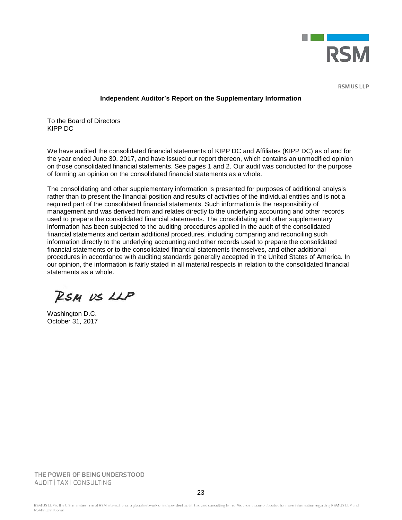

**RSM US LLP** 

#### **Independent Auditor's Report on the Supplementary Information**

To the Board of Directors KIPP DC

We have audited the consolidated financial statements of KIPP DC and Affiliates (KIPP DC) as of and for the year ended June 30, 2017, and have issued our report thereon, which contains an unmodified opinion on those consolidated financial statements. See pages 1 and 2. Our audit was conducted for the purpose of forming an opinion on the consolidated financial statements as a whole.

The consolidating and other supplementary information is presented for purposes of additional analysis rather than to present the financial position and results of activities of the individual entities and is not a required part of the consolidated financial statements. Such information is the responsibility of management and was derived from and relates directly to the underlying accounting and other records used to prepare the consolidated financial statements. The consolidating and other supplementary information has been subjected to the auditing procedures applied in the audit of the consolidated financial statements and certain additional procedures, including comparing and reconciling such information directly to the underlying accounting and other records used to prepare the consolidated financial statements or to the consolidated financial statements themselves, and other additional procedures in accordance with auditing standards generally accepted in the United States of America. In our opinion, the information is fairly stated in all material respects in relation to the consolidated financial statements as a whole.

RSM US LLP

Washington D.C. October 31, 2017

THE POWER OF BEING UNDERSTOOD AUDIT | TAX | CONSULTING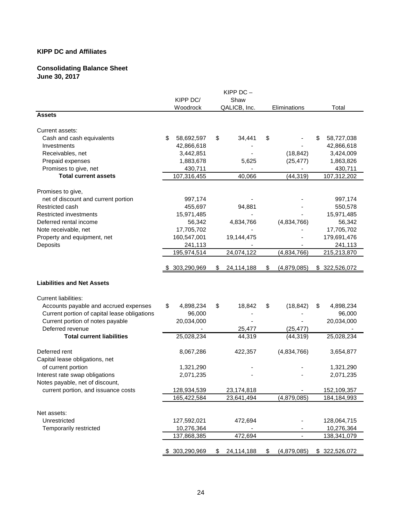# **Consolidating Balance Sheet June 30, 2017**

|                                              | KIPP $DC -$ |                |    |              |    |                          |    |               |  |
|----------------------------------------------|-------------|----------------|----|--------------|----|--------------------------|----|---------------|--|
|                                              |             | KIPP DC/       |    | Shaw         |    |                          |    |               |  |
|                                              |             | Woodrock       |    | QALICB, Inc. |    | Eliminations             |    | Total         |  |
| <b>Assets</b>                                |             |                |    |              |    |                          |    |               |  |
| Current assets:                              |             |                |    |              |    |                          |    |               |  |
| Cash and cash equivalents                    | \$          | 58,692,597     | \$ | 34,441       | \$ |                          | \$ | 58,727,038    |  |
| Investments                                  |             | 42,866,618     |    |              |    |                          |    | 42,866,618    |  |
| Receivables, net                             |             | 3,442,851      |    |              |    | (18, 842)                |    | 3,424,009     |  |
| Prepaid expenses                             |             | 1,883,678      |    | 5,625        |    | (25, 477)                |    | 1,863,826     |  |
| Promises to give, net                        |             | 430,711        |    |              |    |                          |    | 430,711       |  |
| <b>Total current assets</b>                  |             | 107,316,455    |    | 40,066       |    | (44, 319)                |    | 107,312,202   |  |
| Promises to give,                            |             |                |    |              |    |                          |    |               |  |
| net of discount and current portion          |             | 997,174        |    |              |    |                          |    | 997,174       |  |
| Restricted cash                              |             | 455,697        |    | 94,881       |    |                          |    | 550,578       |  |
| Restricted investments                       |             | 15,971,485     |    |              |    |                          |    | 15,971,485    |  |
| Deferred rental income                       |             | 56,342         |    | 4,834,766    |    | (4,834,766)              |    | 56,342        |  |
| Note receivable, net                         |             | 17,705,702     |    |              |    |                          |    | 17,705,702    |  |
| Property and equipment, net                  |             | 160,547,001    |    | 19,144,475   |    |                          |    | 179,691,476   |  |
| Deposits                                     |             |                |    |              |    |                          |    | 241,113       |  |
|                                              |             | 241,113        |    |              |    |                          |    |               |  |
|                                              |             | 195,974,514    |    | 24,074,122   |    | (4,834,766)              |    | 215,213,870   |  |
|                                              |             | 303,290,969    | S. | 24,114,188   | \$ | (4,879,085)              |    | \$322,526,072 |  |
| <b>Liabilities and Net Assets</b>            |             |                |    |              |    |                          |    |               |  |
| <b>Current liabilities:</b>                  |             |                |    |              |    |                          |    |               |  |
| Accounts payable and accrued expenses        | \$          | 4,898,234      | \$ | 18,842       | \$ | (18, 842)                | \$ | 4,898,234     |  |
| Current portion of capital lease obligations |             | 96,000         |    |              |    |                          |    | 96,000        |  |
| Current portion of notes payable             |             | 20,034,000     |    |              |    |                          |    | 20,034,000    |  |
| Deferred revenue                             |             |                |    | 25,477       |    | (25, 477)                |    |               |  |
| <b>Total current liabilities</b>             |             | 25,028,234     |    | 44,319       |    | (44, 319)                |    | 25,028,234    |  |
| Deferred rent                                |             |                |    |              |    |                          |    |               |  |
|                                              |             | 8,067,286      |    | 422,357      |    | (4,834,766)              |    | 3,654,877     |  |
| Capital lease obligations, net               |             |                |    |              |    |                          |    |               |  |
| of current portion                           |             | 1,321,290      |    |              |    |                          |    | 1,321,290     |  |
| Interest rate swap obligations               |             | 2,071,235      |    |              |    |                          |    | 2,071,235     |  |
| Notes payable, net of discount,              |             |                |    |              |    |                          |    |               |  |
| current portion, and issuance costs          |             | 128,934,539    |    | 23,174,818   |    |                          |    | 152,109,357   |  |
|                                              |             | 165,422,584    |    | 23,641,494   |    | (4,879,085)              |    | 184,184,993   |  |
| Net assets:                                  |             |                |    |              |    |                          |    |               |  |
| Unrestricted                                 |             | 127,592,021    |    | 472,694      |    |                          |    | 128,064,715   |  |
| Temporarily restricted                       |             | 10,276,364     |    |              |    |                          |    | 10,276,364    |  |
|                                              |             | 137,868,385    |    | 472,694      |    | $\overline{\phantom{a}}$ |    | 138,341,079   |  |
|                                              |             |                |    |              |    |                          |    |               |  |
|                                              |             | \$ 303,290,969 | \$ | 24,114,188   | \$ | (4,879,085)              |    | \$322,526,072 |  |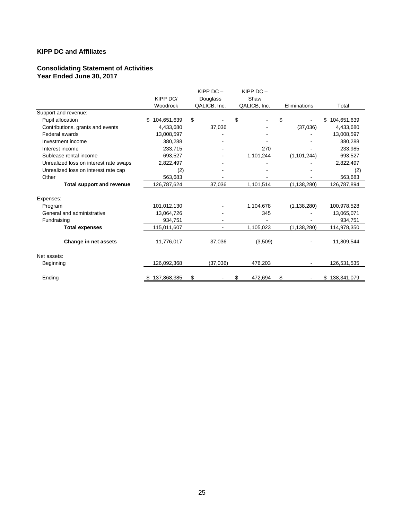# **Consolidating Statement of Activities Year Ended June 30, 2017**

|                                        |                   | KIPP $DC -$<br>KIPP $DC -$ |    |              |    |                          |                   |
|----------------------------------------|-------------------|----------------------------|----|--------------|----|--------------------------|-------------------|
|                                        | KIPP DC/          | Douglass                   |    | Shaw         |    |                          |                   |
|                                        | Woodrock          | QALICB, Inc.               |    | QALICB, Inc. |    | Eliminations             | Total             |
| Support and revenue:                   |                   |                            |    |              |    |                          |                   |
| Pupil allocation                       | \$<br>104,651,639 | \$                         | \$ |              | \$ | $\blacksquare$           | \$<br>104,651,639 |
| Contributions, grants and events       | 4,433,680         | 37,036                     |    |              |    | (37,036)                 | 4,433,680         |
| Federal awards                         | 13,008,597        |                            |    |              |    |                          | 13,008,597        |
| Investment income                      | 380,288           |                            |    |              |    |                          | 380,288           |
| Interest income                        | 233,715           |                            |    | 270          |    |                          | 233,985           |
| Sublease rental income                 | 693,527           |                            |    | 1,101,244    |    | (1, 101, 244)            | 693,527           |
| Unrealized loss on interest rate swaps | 2,822,497         |                            |    |              |    |                          | 2,822,497         |
| Unrealized loss on interest rate cap   | (2)               |                            |    |              |    |                          | (2)               |
| Other                                  | 563,683           |                            |    |              |    |                          | 563,683           |
| <b>Total support and revenue</b>       | 126,787,624       | 37,036                     |    | 1,101,514    |    | (1, 138, 280)            | 126,787,894       |
| Expenses:                              |                   |                            |    |              |    |                          |                   |
| Program                                | 101,012,130       |                            |    | 1,104,678    |    | (1, 138, 280)            | 100,978,528       |
| General and administrative             | 13,064,726        |                            |    | 345          |    |                          | 13,065,071        |
| Fundraising                            | 934,751           |                            |    |              |    |                          | 934,751           |
| <b>Total expenses</b>                  | 115,011,607       | $\blacksquare$             |    | 1,105,023    |    | (1, 138, 280)            | 114,978,350       |
| Change in net assets                   | 11,776,017        | 37,036                     |    | (3,509)      |    |                          | 11,809,544        |
| Net assets:                            |                   |                            |    |              |    |                          |                   |
| Beginning                              | 126,092,368       | (37,036)                   |    | 476,203      |    | $\overline{\phantom{a}}$ | 126,531,535       |
| Ending                                 | 137,868,385<br>\$ | \$                         | \$ | 472,694      | \$ |                          | \$138,341,079     |